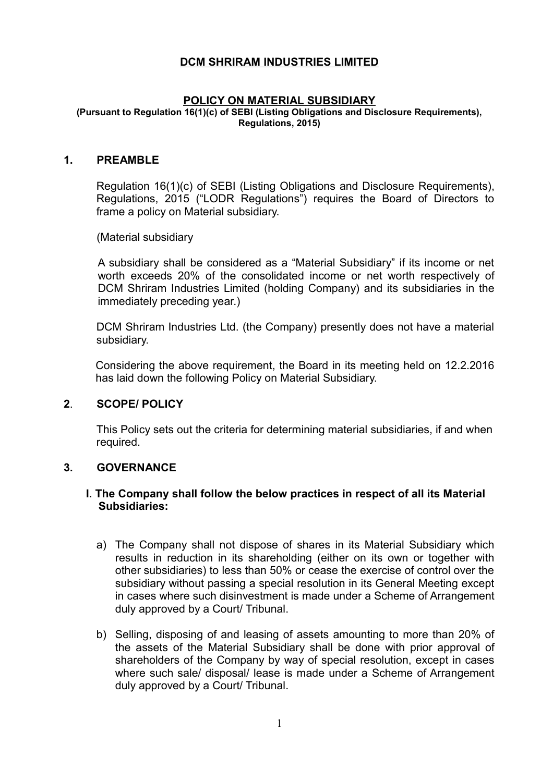# **DCM SHRIRAM INDUSTRIES LIMITED**

#### **POLICY ON MATERIAL SUBSIDIARY**

**(Pursuant to Regulation 16(1)(c) of SEBI (Listing Obligations and Disclosure Requirements), Regulations, 2015)**

#### **1. PREAMBLE**

Regulation 16(1)(c) of SEBI (Listing Obligations and Disclosure Requirements), Regulations, 2015 ("LODR Regulations") requires the Board of Directors to frame a policy on Material subsidiary.

(Material subsidiary

A subsidiary shall be considered as a "Material Subsidiary" if its income or net worth exceeds 20% of the consolidated income or net worth respectively of DCM Shriram Industries Limited (holding Company) and its subsidiaries in the immediately preceding year.)

DCM Shriram Industries Ltd. (the Company) presently does not have a material subsidiary.

Considering the above requirement, the Board in its meeting held on 12.2.2016 has laid down the following Policy on Material Subsidiary.

### **2**. **SCOPE/ POLICY**

This Policy sets out the criteria for determining material subsidiaries, if and when required.

### **3. GOVERNANCE**

### **I. The Company shall follow the below practices in respect of all its Material Subsidiaries:**

- a) The Company shall not dispose of shares in its Material Subsidiary which results in reduction in its shareholding (either on its own or together with other subsidiaries) to less than 50% or cease the exercise of control over the subsidiary without passing a special resolution in its General Meeting except in cases where such disinvestment is made under a Scheme of Arrangement duly approved by a Court/ Tribunal.
- b) Selling, disposing of and leasing of assets amounting to more than 20% of the assets of the Material Subsidiary shall be done with prior approval of shareholders of the Company by way of special resolution, except in cases where such sale/ disposal/ lease is made under a Scheme of Arrangement duly approved by a Court/ Tribunal.